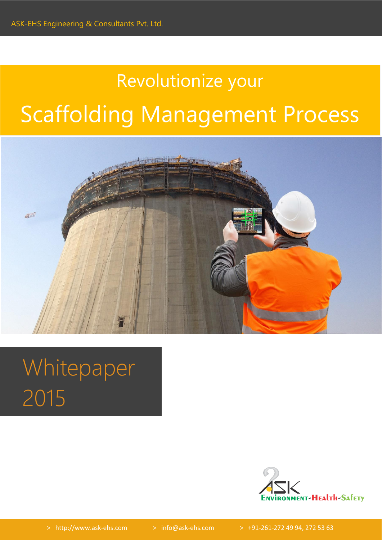# Revolutionize your Scaffolding Management Process



# Whitepaper 2015

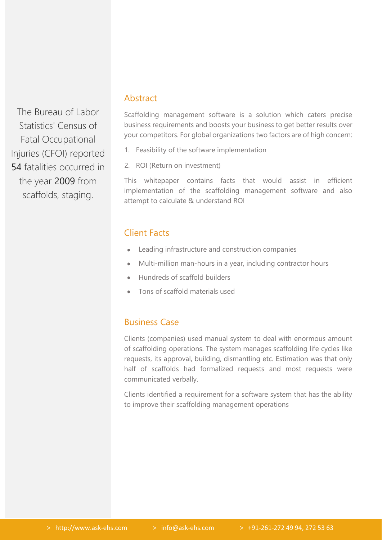The Bureau of Labor Statistics' Census of Fatal Occupational Injuries (CFOI) reported 54 fatalities occurred in the year 2009 from scaffolds, staging.

## Abstract

Scaffolding management software is a solution which caters precise business requirements and boosts your business to get better results over your competitors. For global organizations two factors are of high concern:

- 1. Feasibility of the software implementation
- 2. ROI (Return on investment)

This whitepaper contains facts that would assist in efficient implementation of the scaffolding management software and also attempt to calculate & understand ROI

## Client Facts

- Leading infrastructure and construction companies
- Multi-million man-hours in a year, including contractor hours  $\bullet$
- Hundreds of scaffold builders
- Tons of scaffold materials used

## Business Case

Clients (companies) used manual system to deal with enormous amount of scaffolding operations. The system manages scaffolding life cycles like requests, its approval, building, dismantling etc. Estimation was that only half of scaffolds had formalized requests and most requests were communicated verbally.

Clients identified a requirement for a software system that has the ability to improve their scaffolding management operations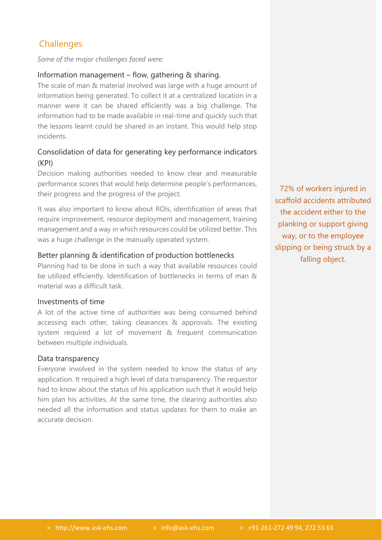# **Challenges**

*Some of the major challenges faced were:*

#### Information management – flow, gathering & sharing.

The scale of man & material involved was large with a huge amount of information being generated. To collect it at a centralized location in a manner were it can be shared efficiently was a big challenge. The information had to be made available in real-time and quickly such that the lessons learnt could be shared in an instant. This would help stop incidents.

### Consolidation of data for generating key performance indicators (KPI)

Decision making authorities needed to know clear and measurable performance scores that would help determine people's performances, their progress and the progress of the project.

It was also important to know about ROIs, identification of areas that require improvement, resource deployment and management, training management and a way in which resources could be utilized better. This was a huge challenge in the manually operated system.

#### Better planning & identification of production bottlenecks

Planning had to be done in such a way that available resources could be utilized efficiently. Identification of bottlenecks in terms of man & material was a difficult task.

#### Investments of time

A lot of the active time of authorities was being consumed behind accessing each other, taking clearances & approvals. The existing system required a lot of movement & frequent communication between multiple individuals.

#### Data transparency

Everyone involved in the system needed to know the status of any application. It required a high level of data transparency. The requestor had to know about the status of his application such that it would help him plan his activities. At the same time, the clearing authorities also needed all the information and status updates for them to make an accurate decision.

72% of workers injured in scaffold accidents attributed the accident either to the planking or support giving way, or to the employee slipping or being struck by a falling object.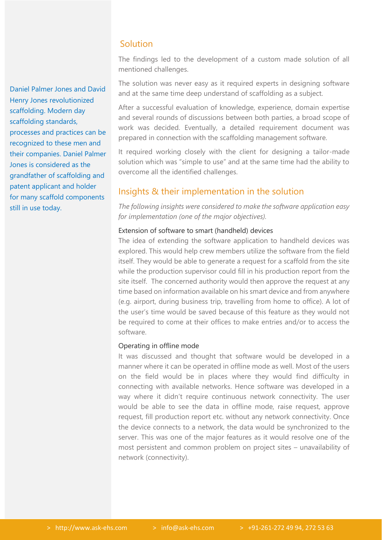Daniel Palmer Jones and David Henry Jones revolutionized scaffolding. Modern day scaffolding standards, processes and practices can be recognized to these men and their companies. Daniel Palmer Jones is considered as the grandfather of scaffolding and patent applicant and holder for many scaffold components still in use today.

### **Solution**

The findings led to the development of a custom made solution of all mentioned challenges.

The solution was never easy as it required experts in designing software and at the same time deep understand of scaffolding as a subject.

After a successful evaluation of knowledge, experience, domain expertise and several rounds of discussions between both parties, a broad scope of work was decided. Eventually, a detailed requirement document was prepared in connection with the scaffolding management software.

It required working closely with the client for designing a tailor-made solution which was "simple to use" and at the same time had the ability to overcome all the identified challenges.

## Insights & their implementation in the solution

*The following insights were considered to make the software application easy for implementation (one of the major objectives).*

#### Extension of software to smart (handheld) devices

The idea of extending the software application to handheld devices was explored. This would help crew members utilize the software from the field itself. They would be able to generate a request for a scaffold from the site while the production supervisor could fill in his production report from the site itself. The concerned authority would then approve the request at any time based on information available on his smart device and from anywhere (e.g. airport, during business trip, travelling from home to office). A lot of the user's time would be saved because of this feature as they would not be required to come at their offices to make entries and/or to access the software.

#### Operating in offline mode

It was discussed and thought that software would be developed in a manner where it can be operated in offline mode as well. Most of the users on the field would be in places where they would find difficulty in connecting with available networks. Hence software was developed in a way where it didn't require continuous network connectivity. The user would be able to see the data in offline mode, raise request, approve request, fill production report etc. without any network connectivity. Once the device connects to a network, the data would be synchronized to the server. This was one of the major features as it would resolve one of the most persistent and common problem on project sites – unavailability of network (connectivity).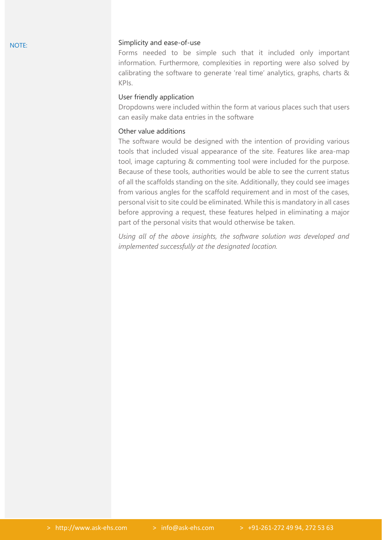#### Simplicity and ease-of-use

Forms needed to be simple such that it included only important information. Furthermore, complexities in reporting were also solved by calibrating the software to generate 'real time' analytics, graphs, charts & KPIs.

#### User friendly application

Dropdowns were included within the form at various places such that users can easily make data entries in the software

#### Other value additions

The software would be designed with the intention of providing various tools that included visual appearance of the site. Features like area-map tool, image capturing & commenting tool were included for the purpose. Because of these tools, authorities would be able to see the current status of all the scaffolds standing on the site. Additionally, they could see images from various angles for the scaffold requirement and in most of the cases, personal visit to site could be eliminated. While this is mandatory in all cases before approving a request, these features helped in eliminating a major part of the personal visits that would otherwise be taken.

*Using all of the above insights, the software solution was developed and implemented successfully at the designated location.*

NOTE: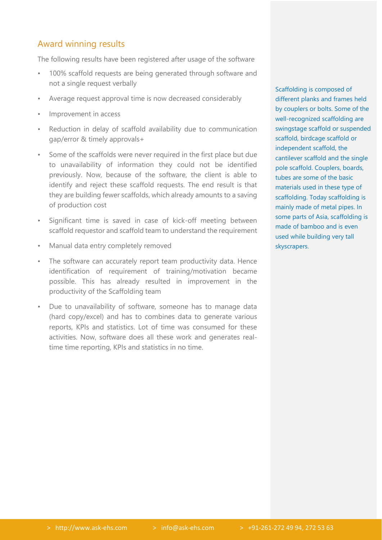## Award winning results

The following results have been registered after usage of the software

- 100% scaffold requests are being generated through software and not a single request verbally
- Average request approval time is now decreased considerably
- Improvement in access
- Reduction in delay of scaffold availability due to communication gap/error & timely approvals+
- Some of the scaffolds were never required in the first place but due to unavailability of information they could not be identified previously. Now, because of the software, the client is able to identify and reject these scaffold requests. The end result is that they are building fewer scaffolds, which already amounts to a saving of production cost
- Significant time is saved in case of kick-off meeting between scaffold requestor and scaffold team to understand the requirement
- Manual data entry completely removed
- The software can accurately report team productivity data. Hence identification of requirement of training/motivation became possible. This has already resulted in improvement in the productivity of the Scaffolding team
- Due to unavailability of software, someone has to manage data (hard copy/excel) and has to combines data to generate various reports, KPIs and statistics. Lot of time was consumed for these activities. Now, software does all these work and generates realtime time reporting, KPIs and statistics in no time.

Scaffolding is composed of different planks and frames held by couplers or bolts. Some of the well-recognized scaffolding are swingstage scaffold or suspended scaffold, birdcage scaffold or independent scaffold, the cantilever scaffold and the single pole scaffold. Couplers, boards, tubes are some of the basic materials used in these type of scaffolding. Today scaffolding is mainly made of metal pipes. In some parts of Asia, scaffolding is made of bamboo and is even used while building very tall skyscrapers.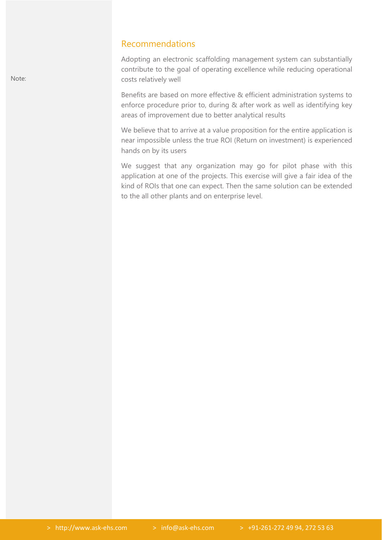#### Recommendations

• Adopting an electronic scaffolding management system can substantially contribute to the goal of operating excellence while reducing operational costs relatively well

• Benefits are based on more effective & efficient administration systems to enforce procedure prior to, during & after work as well as identifying key areas of improvement due to better analytical results

We believe that to arrive at a value proposition for the entire application is near impossible unless the true ROI (Return on investment) is experienced hands on by its users

We suggest that any organization may go for pilot phase with this application at one of the projects. This exercise will give a fair idea of the kind of ROIs that one can expect. Then the same solution can be extended to the all other plants and on enterprise level.

Note: